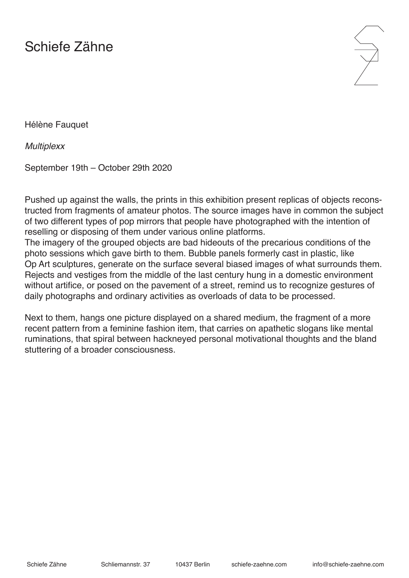## Schiefe Zähne



Hélène Fauquet

*Multiplexx*

September 19th – October 29th 2020

Pushed up against the walls, the prints in this exhibition present replicas of objects reconstructed from fragments of amateur photos. The source images have in common the subject of two different types of pop mirrors that people have photographed with the intention of reselling or disposing of them under various online platforms.

The imagery of the grouped objects are bad hideouts of the precarious conditions of the photo sessions which gave birth to them. Bubble panels formerly cast in plastic, like Op Art sculptures, generate on the surface several biased images of what surrounds them. Rejects and vestiges from the middle of the last century hung in a domestic environment without artifice, or posed on the pavement of a street, remind us to recognize gestures of daily photographs and ordinary activities as overloads of data to be processed.

Next to them, hangs one picture displayed on a shared medium, the fragment of a more recent pattern from a feminine fashion item, that carries on apathetic slogans like mental ruminations, that spiral between hackneyed personal motivational thoughts and the bland stuttering of a broader consciousness.